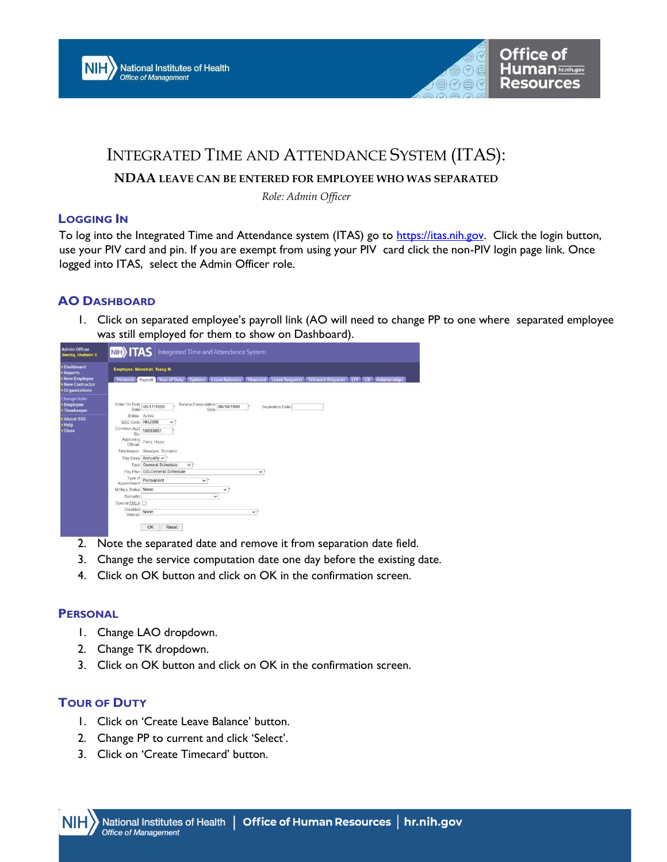



# INTEGRATED TIME AND ATTENDANCE SYSTEM (ITAS):

### **NDAA LEAVE CAN BE ENTERED FOR EMPLOYEE WHO WAS SEPARATED**

*Role: Admin Officer*

#### **LOGGING IN**

T[o](https://itas.nih.gov/) log into the Integrated Time and Attendance system (ITAS) go to [https://itas.nih.gov.](https://itas.nih.gov/) Click the login button, use your PIV card and pin. If you are exempt from using your PIV card click the non-PIV login page link. Once logged into ITAS, select the Admin Officer role.

# **AO DASHBOARD**

1. Click on separated employee's payroll link (AO will need to change PP to one where separated employee was still employed for them to show on Dashboard).

| <b>Admin Officer</b><br>Simitig, Gluttakh S.                                                        | <b>NIE) ITAS</b> Integrated Time and Attendance System                                                                                                                                                                                                                                                                  |
|-----------------------------------------------------------------------------------------------------|-------------------------------------------------------------------------------------------------------------------------------------------------------------------------------------------------------------------------------------------------------------------------------------------------------------------------|
| <b>Dashboard</b><br><b>Reports</b><br>New Employee<br><b>New Contractor</b><br><b>Organizations</b> | <b>Employee: Monstrall, Tsang M.</b><br><b>Relationships</b><br><b>Options</b><br><b>Leave Balances</b><br><b>Telework Requests</b><br>Payroll   Tour of Duty<br><b>Timecard</b> Leave Requests<br>Personal<br><b>LTP</b><br>TR                                                                                         |
| <b>Change Role:</b><br><b>Employee</b><br>Timekeeper                                                | Service Computation 06/16/1990<br>Enter On Duty 06/17/1990<br>Separation Date<br>Date<br>Date                                                                                                                                                                                                                           |
| <b>About ITAS</b><br>Help<br>Close                                                                  | Status Active<br>SAC Code HNJ386<br>$\checkmark$<br>Common Acct 18033651<br>No<br>Approving Fairy, Hippy<br>Official:<br>Timekeeper: Kreatyve, Romanto                                                                                                                                                                  |
|                                                                                                     | Pay Basis Annually v *<br>Type General Schedule<br>$\checkmark$ :<br>Pay Plan GS-General Schedule<br>$\vee$<br>Type of<br>Permanent<br>$\checkmark$ .<br>Appointment<br>Military Status None<br>$\checkmark$<br>$\checkmark$<br>Remarks<br>Special FMLA D<br>Disabled<br>Veteran<br>None<br>$\checkmark$<br>OK<br>Reset |

- 2. Note the separated date and remove it from separation date field.
- 3. Change the service computation date one day before the existing date.
- 4. Click on OK button and click on OK in the confirmation screen.

#### **PERSONAL**

- 1. Change LAO dropdown.
- 2. Change TK dropdown.
- 3. Click on OK button and click on OK in the confirmation screen.

# **TOUR OF DUTY**

- 1. Click on 'Create Leave Balance' button.
- 2. Change PP to current and click 'Select'.
- 3. Click on 'Create Timecard' button.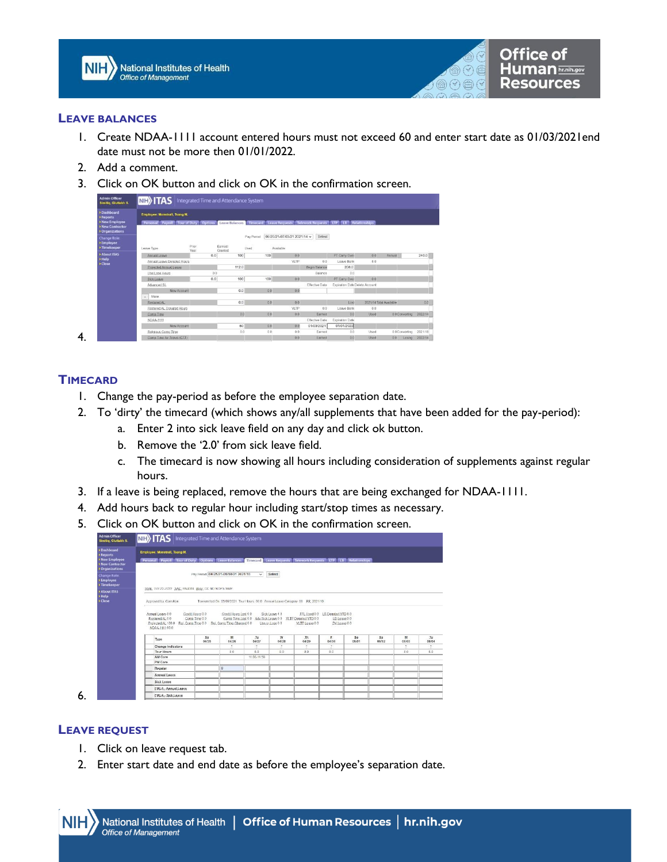



#### **LEAVE BALANCES**

- 1. Create NDAA-1111 account entered hours must not exceed 60 and enter start date as 01/03/2021end date must not be more then 01/01/2022.
- 2. Add a comment.
- 3. Click on OK button and click on OK in the confirmation screen.

| <b>Admin Officer</b><br>Simitiq, Gluttakh S.                                                     | <b>NIE&gt;</b> TAS Integrated Time and Attendance System                                                                                            |               |                    |                     |                                                   |                       |                               |             |                         |         |
|--------------------------------------------------------------------------------------------------|-----------------------------------------------------------------------------------------------------------------------------------------------------|---------------|--------------------|---------------------|---------------------------------------------------|-----------------------|-------------------------------|-------------|-------------------------|---------|
| > Dashboard<br>> Reports<br>> New Employee<br><b>New Contractor</b><br><b>&gt; Organizations</b> | Employee: Monstrall, Tsang M.<br>Personal Payroll Tour of Duty Options Leave Balances Timecard Leave Requests Telework Requests TP (B Relationships |               |                    |                     |                                                   |                       |                               |             |                         |         |
| <b>Change Role:</b><br>> Employee<br>> Timekeeper                                                | Leave Type                                                                                                                                          | Prior<br>Year | Earned/<br>Granted | Pay Period<br>Lised | 06/20/21-07/03/21 2021/14 $\backsim$<br>Available | Select                |                               |             |                         |         |
| > About ITAS                                                                                     | Annual Leave                                                                                                                                        | 0.0           | 100                | 100                 | 0.0                                               |                       | PT Carry Over                 | 00          | Annual                  | 240.0   |
| » Help<br><b>&gt;Close</b>                                                                       | Annual Leave Donated Hours                                                                                                                          |               |                    |                     | VLTP                                              | 00                    | Leave Bank                    | 8.0         |                         |         |
|                                                                                                  | Projected Annual Leave                                                                                                                              |               | 112.0              |                     |                                                   | Begin Balance         | 208.0                         |             |                         |         |
|                                                                                                  | Use/Lose Hours                                                                                                                                      | 0.0           |                    |                     |                                                   | Balance               | 0.0                           |             |                         |         |
|                                                                                                  | <b>Sick Leave</b>                                                                                                                                   | 0.0           | 100                | 100                 | 0.0                                               |                       | PT Carry Over                 | 0.0         |                         |         |
|                                                                                                  | Advanced St.                                                                                                                                        |               |                    |                     |                                                   | Effective Date        | Expiration DateDelete Account |             |                         |         |
|                                                                                                  | New Account                                                                                                                                         |               | 0.0                | 0.0                 | 0.0                                               |                       |                               |             |                         |         |
|                                                                                                  | More<br>×                                                                                                                                           |               |                    |                     |                                                   |                       |                               |             |                         |         |
|                                                                                                  | Restored AL                                                                                                                                         |               | 0.0                | 0.0                 | 0.0                                               |                       | Lost                          |             | 2021/14 Total Available | 0.0     |
|                                                                                                  | Restored AL Donated Hours                                                                                                                           |               |                    |                     | <b>VLTP</b>                                       | 0.0                   | Leave Bank                    | 00          |                         |         |
|                                                                                                  | Comp Time                                                                                                                                           |               | 0.0                | 0.0                 | 0.0                                               | Earned                | 0.0                           | <b>Used</b> | 0.0 Converting 2022/14  |         |
|                                                                                                  | NDAA-1111                                                                                                                                           |               |                    |                     |                                                   | <b>Effective Date</b> | Expiration Date               |             |                         |         |
|                                                                                                  | New Account                                                                                                                                         |               | 60                 | 0.0                 | 0.0                                               | 01/03/2021            | 01/01/2022                    |             |                         |         |
|                                                                                                  | Religious Comp.Time                                                                                                                                 |               | 0.0                | 0.0                 | 0.0                                               | Earned                | 0.0                           | Used        | 0.0 Converting          | 2021/18 |
|                                                                                                  | Comp Time for Travel (CTT)                                                                                                                          |               |                    |                     | 0.0                                               | Earned                | 0.0                           | Used        | 0.0<br>Losing           | 2022/14 |

#### **TIMECARD**

- 1. Change the pay-period as before the employee separation date.
- 2. To 'dirty' the timecard (which shows any/all supplements that have been added for the pay-period):
	- a. Enter 2 into sick leave field on any day and click ok button.
	- b. Remove the '2.0' from sick leave field.
	- c. The timecard is now showing all hours including consideration of supplements against regular hours.
- 3. If a leave is being replaced, remove the hours that are being exchanged for NDAA-1111.
- 4. Add hours back to regular hour including start/stop times as necessary.
- 5. Click on OK button and click on OK in the confirmation screen.

| <b>Reports</b><br>Mew Employee<br>New Contractor      | Employee: Monstrall, Tsang M.                                                                                       |                                  |                                     |                                                                                |                  |                 |                                 |              |                    |            |             |
|-------------------------------------------------------|---------------------------------------------------------------------------------------------------------------------|----------------------------------|-------------------------------------|--------------------------------------------------------------------------------|------------------|-----------------|---------------------------------|--------------|--------------------|------------|-------------|
|                                                       |                                                                                                                     |                                  |                                     |                                                                                |                  |                 |                                 |              |                    |            |             |
|                                                       | Personal Payroll Tour of Duty Options Leave Balances Timecard Leave Requests Telework Requests LTP LB Relationships |                                  |                                     |                                                                                |                  |                 |                                 |              |                    |            |             |
| Organizations                                         |                                                                                                                     |                                  |                                     |                                                                                |                  |                 |                                 |              |                    |            |             |
| <b>Change Role:</b><br><b>Employee</b><br>>Timekeeper |                                                                                                                     |                                  | Pay Penod 04/25/21-05/08/21 2021/10 | $\checkmark$                                                                   | Select           |                 |                                 |              |                    |            |             |
| About ITAS                                            | SSN, 222-22-2222 SAC HNJ386 Abbr CC ND NOPS SWP                                                                     |                                  |                                     |                                                                                |                  |                 |                                 |              |                    |            |             |
| > Help                                                |                                                                                                                     |                                  |                                     |                                                                                |                  |                 |                                 |              |                    |            |             |
| > Close                                               | Accroyed by, Cern Ken                                                                                               |                                  |                                     | Transmitted On 05/09/2021 Tour Hours 80.0 Annual Leave Category 06 PP: 2021/10 |                  |                 |                                 |              |                    |            |             |
|                                                       |                                                                                                                     |                                  |                                     |                                                                                |                  |                 |                                 |              |                    |            |             |
|                                                       | Annual Leave 8.0                                                                                                    | Credit Hours 0.0                 | Credit Hours Lost 0.0               |                                                                                | Sick Leave 4.0   |                 | FFL Used 0.0 LB Donated YTD 8.0 |              |                    |            |             |
|                                                       |                                                                                                                     |                                  |                                     |                                                                                |                  |                 | LB Leave 0.0                    |              |                    |            |             |
|                                                       | Restored AL 0.0                                                                                                     | Comp. Time 0.0                   |                                     | Comp.Time.Lost 0.0 Adv.Sick Leave 0.0 VLTP.Dorrated YTD 0.0                    |                  |                 |                                 |              |                    |            |             |
|                                                       | Projected AL 136.0 Rel. Comp. Time 0.0 Rel. Comp. Time Charged 0.0<br>NDAA-1111 60.0                                |                                  |                                     |                                                                                | Use.or. Lose 0.0 | VLTP, Leave 0.0 | DV Leave 0.0                    |              |                    |            |             |
|                                                       |                                                                                                                     |                                  |                                     |                                                                                |                  |                 |                                 |              |                    |            |             |
|                                                       | Type                                                                                                                | $\mathbf{S} \mathbf{u}$<br>04/25 | M<br>04/26                          | <b>Tu</b><br>04/27                                                             | w<br>04/28       | Jb.<br>04/29    | £<br>04/30                      | \$s<br>05/01 | $\n  S\n$<br>05/02 | M<br>05/03 | Tu<br>06/04 |
|                                                       | Change Indicators                                                                                                   |                                  | ž.                                  | z.                                                                             | з                | ÷               | z.                              |              |                    | ž.         | ÷           |
|                                                       | <b>Tour Hours</b>                                                                                                   |                                  | 8.0                                 | 8.0                                                                            | 8.0              | 80              | 8.0                             |              |                    | 8.0        | 8.0         |
|                                                       | AM Core                                                                                                             |                                  |                                     | 11:00-11:59                                                                    |                  |                 |                                 |              |                    |            |             |
|                                                       |                                                                                                                     |                                  |                                     |                                                                                |                  |                 |                                 |              |                    |            |             |
|                                                       |                                                                                                                     |                                  |                                     |                                                                                |                  |                 |                                 |              |                    |            |             |
|                                                       | Regular                                                                                                             |                                  |                                     |                                                                                |                  |                 |                                 |              |                    |            |             |
|                                                       | Annual Leave                                                                                                        |                                  |                                     |                                                                                |                  |                 |                                 |              |                    |            |             |
|                                                       | Sick Leave                                                                                                          |                                  |                                     |                                                                                |                  |                 |                                 |              |                    |            |             |
|                                                       | FMLA - Annual Leave                                                                                                 |                                  |                                     |                                                                                |                  |                 |                                 |              |                    |            |             |
|                                                       | <b>PM Core</b>                                                                                                      |                                  | B                                   |                                                                                |                  |                 |                                 |              |                    |            |             |

6.

#### **LEAVE REQUEST**

- 1. Click on leave request tab.
- 2. Enter start date and end date as before the employee's separation date.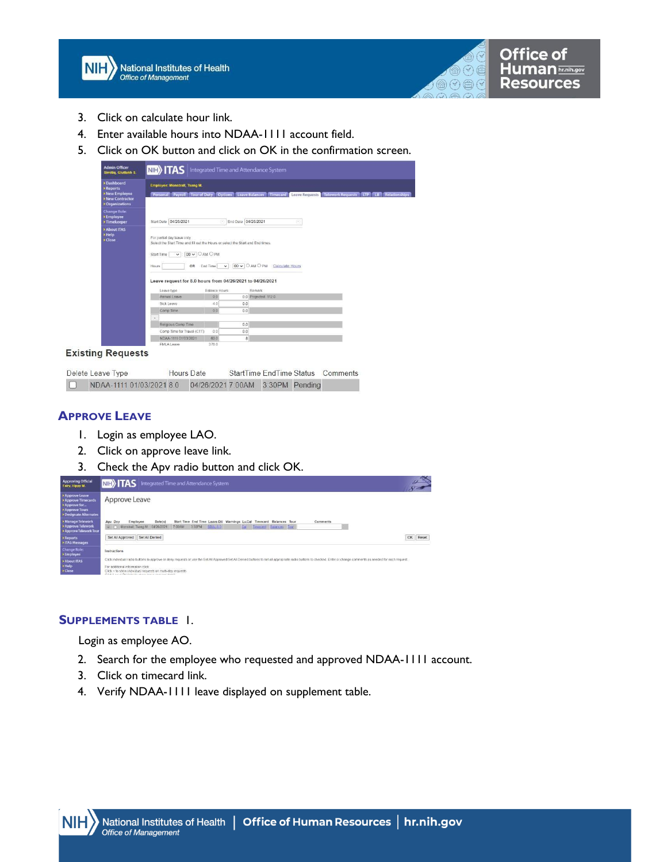

| $\left( \right)$<br>$\left\{ \forall \right\}$ |  | Office of<br><b>Human</b> hr.nih.gov<br><b>Resources</b> |
|------------------------------------------------|--|----------------------------------------------------------|
|------------------------------------------------|--|----------------------------------------------------------|

- 3. Click on calculate hour link.
- 4. Enter available hours into NDAA-1111 account field.
- 5. Click on OK button and click on OK in the confirmation screen.

| <b>Admin Officer</b><br>Simitig, Gluttakh S.                    | <b>NB</b> ITAS<br>Integrated Time and Attendance System                                                                                                                                                                                                                                                    |
|-----------------------------------------------------------------|------------------------------------------------------------------------------------------------------------------------------------------------------------------------------------------------------------------------------------------------------------------------------------------------------------|
| +Dashboard<br><b>&gt;Reports</b>                                | <b>Employee: Monstrall, Tsang M.</b>                                                                                                                                                                                                                                                                       |
| <b>New Employee</b><br><b>New Contractor</b><br>▶ Organizations | Personal Payroll Tour of Duty<br><b>Options</b> Leave Balances<br>Timecard<br>Leave Requests<br>Telework Requests LTP LB<br>Relationships                                                                                                                                                                  |
| <b>Change Role:</b><br><b>Employee</b><br><b>▶Timekeeper</b>    | End Date 04/26/2021<br>Start Date 04/26/2021<br>$\langle \tilde{\gamma} \rangle$<br>m                                                                                                                                                                                                                      |
| <b>* About ITAS</b><br><b>&gt;Help</b><br><b>&gt;Close</b>      | For partial day leave only.<br>Select the Start Time and fill out the Hours or select the Start and End times.<br>00 V OAM OPM<br>Start Time<br>$\checkmark$<br>00 V O AM O PM<br>End Time<br>Calculate Hours<br><b>OR</b><br>Hours<br>$\vee$<br>Leave request for 8.0 hours from 04/26/2021 to 04/26/2021 |
|                                                                 | Balance Hours<br>Remark<br>Leave type<br>0.0 Projected: 1120<br>Annual Leave<br>0.0                                                                                                                                                                                                                        |
|                                                                 | Sick Leave<br>4.0<br>0.0                                                                                                                                                                                                                                                                                   |
|                                                                 | 0.0<br>Comp Time<br>0.0                                                                                                                                                                                                                                                                                    |
|                                                                 | $\sim$                                                                                                                                                                                                                                                                                                     |
|                                                                 | Religious Comp Time<br>0.0                                                                                                                                                                                                                                                                                 |
|                                                                 | Comp Time for Travel (CTT)<br>0.0<br>0.0                                                                                                                                                                                                                                                                   |
|                                                                 | NDAA-1111 01/03/2021<br>60.0<br>8                                                                                                                                                                                                                                                                          |
|                                                                 | 376.0<br>FMLALeave                                                                                                                                                                                                                                                                                         |
| <b>Existing Requests</b>                                        |                                                                                                                                                                                                                                                                                                            |

Delete Leave Type **Hours** Date StartTime EndTime Status Comments □ NDAA-1111 01/03/2021 8.0 04/26/2021 7:00AM 3:30PM Pending

## **APPROVE LEAVE**

- 1. Login as employee LAO.
- 2. Click on approve leave link.
- 3. Check the Apv radio button and click OK.

| <b>Approving Official</b><br>Fairy, Hippy M.                                                            | <b>NIFI&gt; TAS</b> Integrated Time and Attendance System                                                                                                                                                                                                                                                                                                                                    | $\frac{\omega}{8}$ |
|---------------------------------------------------------------------------------------------------------|----------------------------------------------------------------------------------------------------------------------------------------------------------------------------------------------------------------------------------------------------------------------------------------------------------------------------------------------------------------------------------------------|--------------------|
| > Approve Leave<br><b>Approve Timecards</b><br>+ Approve for<br>> Approve Tours<br>Designate Alternates | Approve Leave                                                                                                                                                                                                                                                                                                                                                                                |                    |
| > Manage Telework<br>Approve Telework<br>> Approve Telework Tour                                        | End Time Leave Dtl Warnings Ly.Cal Timecard Balances Tour<br>Date(s)<br>Comments<br>Apy Dny<br><b>Start Time</b><br>Employee<br>$\sqrt{2}$<br>04/26/2021<br>Timecard Balances Tour<br>Monstrall, Tsang M<br>3:30PM<br>SRAL 8.0<br>7:00AM<br>Cal                                                                                                                                              |                    |
| > Reports<br><b>FITAS Messages</b>                                                                      | Set All Approved Set All Denied                                                                                                                                                                                                                                                                                                                                                              | OK Reset           |
| <b>Change Role:</b><br>> Employee                                                                       | Instructions                                                                                                                                                                                                                                                                                                                                                                                 |                    |
| > About ITAS<br>> Help<br>> Close                                                                       | Click individual radio buttons to approve or deny requests or use the Set All Approved/Set All Denied buttons to set all appropriate radio buttons to checked. Enter or change comments as needed for each request.<br>For additional information click<br>Click + to show individual requests on multi-day requests.<br>Official Languay, OH Sankas Art advance beauting proposal abstracts |                    |

#### **SUPPLEMENTS TABLE** 1.

Login as employee AO.

- 2. Search for the employee who requested and approved NDAA-1111 account.
- 3. Click on timecard link.
- 4. Verify NDAA-1111 leave displayed on supplement table.